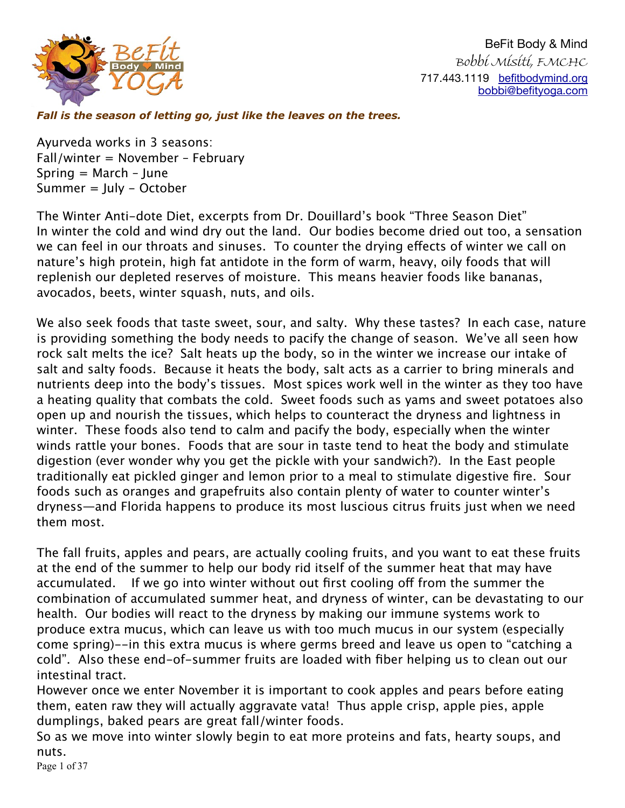

*Fall is the season of letting go, just like the leaves on the trees.* 

Ayurveda works in 3 seasons: Fall/winter = November – February Spring  $=$  March  $-$  June Summer = July - October

The Winter Anti-dote Diet, excerpts from Dr. Douillard's book "Three Season Diet" In winter the cold and wind dry out the land. Our bodies become dried out too, a sensation we can feel in our throats and sinuses. To counter the drying efects of winter we call on nature's high protein, high fat antidote in the form of warm, heavy, oily foods that will replenish our depleted reserves of moisture. This means heavier foods like bananas, avocados, beets, winter squash, nuts, and oils.

We also seek foods that taste sweet, sour, and salty. Why these tastes? In each case, nature is providing something the body needs to pacify the change of season. We've all seen how rock salt melts the ice? Salt heats up the body, so in the winter we increase our intake of salt and salty foods. Because it heats the body, salt acts as a carrier to bring minerals and nutrients deep into the body's tissues. Most spices work well in the winter as they too have a heating quality that combats the cold. Sweet foods such as yams and sweet potatoes also open up and nourish the tissues, which helps to counteract the dryness and lightness in winter. These foods also tend to calm and pacify the body, especially when the winter winds rattle your bones. Foods that are sour in taste tend to heat the body and stimulate digestion (ever wonder why you get the pickle with your sandwich?). In the East people traditionally eat pickled ginger and lemon prior to a meal to stimulate digestive fire. Sour foods such as oranges and grapefruits also contain plenty of water to counter winter's dryness—and Florida happens to produce its most luscious citrus fruits just when we need them most.

The fall fruits, apples and pears, are actually cooling fruits, and you want to eat these fruits at the end of the summer to help our body rid itself of the summer heat that may have accumulated. If we go into winter without out first cooling off from the summer the combination of accumulated summer heat, and dryness of winter, can be devastating to our health. Our bodies will react to the dryness by making our immune systems work to produce extra mucus, which can leave us with too much mucus in our system (especially come spring)--in this extra mucus is where germs breed and leave us open to "catching a cold". Also these end-of-summer fruits are loaded with fiber helping us to clean out our intestinal tract.

However once we enter November it is important to cook apples and pears before eating them, eaten raw they will actually aggravate vata! Thus apple crisp, apple pies, apple dumplings, baked pears are great fall/winter foods.

So as we move into winter slowly begin to eat more proteins and fats, hearty soups, and nuts.

Page 1 of 37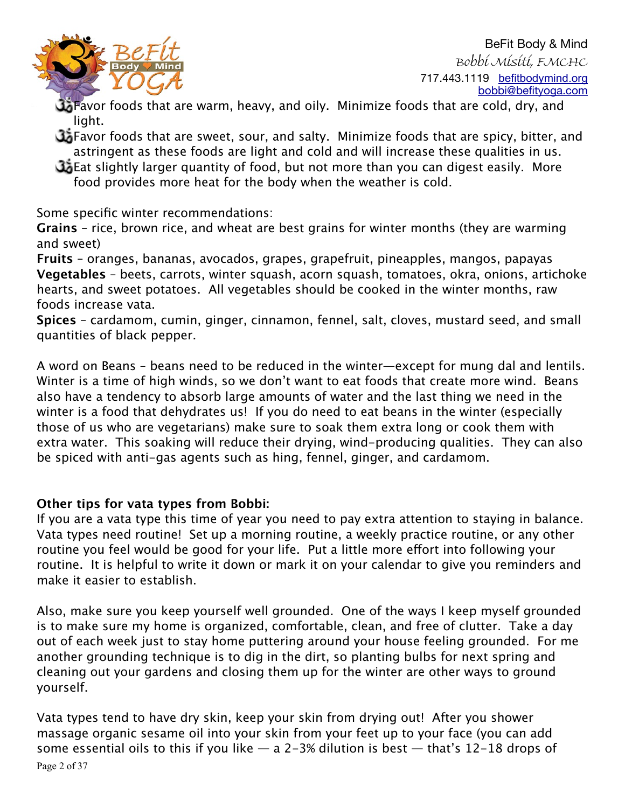

Favor foods that are warm, heavy, and oily. Minimize foods that are cold, dry, and light.

- Favor foods that are sweet, sour, and salty. Minimize foods that are spicy, bitter, and astringent as these foods are light and cold and will increase these qualities in us.
- Eat slightly larger quantity of food, but not more than you can digest easily. More food provides more heat for the body when the weather is cold.

Some specific winter recommendations:

**Grains** – rice, brown rice, and wheat are best grains for winter months (they are warming and sweet)

**Fruits** – oranges, bananas, avocados, grapes, grapefruit, pineapples, mangos, papayas **Vegetables** – beets, carrots, winter squash, acorn squash, tomatoes, okra, onions, artichoke hearts, and sweet potatoes. All vegetables should be cooked in the winter months, raw foods increase vata.

**Spices** – cardamom, cumin, ginger, cinnamon, fennel, salt, cloves, mustard seed, and small quantities of black pepper.

A word on Beans – beans need to be reduced in the winter—except for mung dal and lentils. Winter is a time of high winds, so we don't want to eat foods that create more wind. Beans also have a tendency to absorb large amounts of water and the last thing we need in the winter is a food that dehydrates us! If you do need to eat beans in the winter (especially those of us who are vegetarians) make sure to soak them extra long or cook them with extra water. This soaking will reduce their drying, wind-producing qualities. They can also be spiced with anti-gas agents such as hing, fennel, ginger, and cardamom.

# **Other tips for vata types from Bobbi:**

If you are a vata type this time of year you need to pay extra attention to staying in balance. Vata types need routine! Set up a morning routine, a weekly practice routine, or any other routine you feel would be good for your life. Put a little more effort into following your routine. It is helpful to write it down or mark it on your calendar to give you reminders and make it easier to establish.

Also, make sure you keep yourself well grounded. One of the ways I keep myself grounded is to make sure my home is organized, comfortable, clean, and free of clutter. Take a day out of each week just to stay home puttering around your house feeling grounded. For me another grounding technique is to dig in the dirt, so planting bulbs for next spring and cleaning out your gardens and closing them up for the winter are other ways to ground yourself.

Vata types tend to have dry skin, keep your skin from drying out! After you shower massage organic sesame oil into your skin from your feet up to your face (you can add some essential oils to this if you like  $-$  a 2-3% dilution is best  $-$  that's 12-18 drops of Page 2 of 37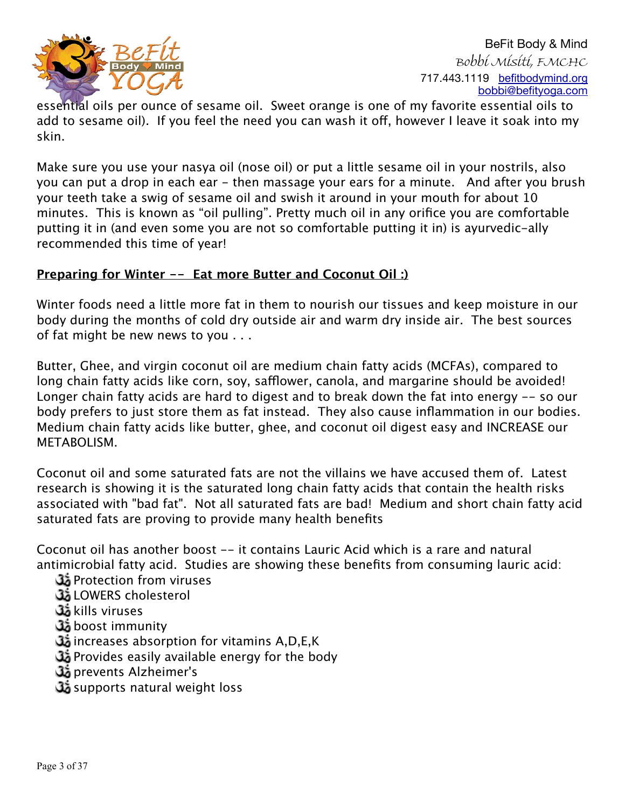

essential oils per ounce of sesame oil. Sweet orange is one of my favorite essential oils to add to sesame oil). If you feel the need you can wash it off, however I leave it soak into my skin.

Make sure you use your nasya oil (nose oil) or put a little sesame oil in your nostrils, also you can put a drop in each ear - then massage your ears for a minute. And after you brush your teeth take a swig of sesame oil and swish it around in your mouth for about 10 minutes. This is known as "oil pulling". Pretty much oil in any orifice you are comfortable putting it in (and even some you are not so comfortable putting it in) is ayurvedic-ally recommended this time of year!

#### **Preparing for Winter -- Eat more Butter and Coconut Oil :)**

Winter foods need a little more fat in them to nourish our tissues and keep moisture in our body during the months of cold dry outside air and warm dry inside air. The best sources of fat might be new news to you . . .

Butter, Ghee, and virgin coconut oil are medium chain fatty acids (MCFAs), compared to long chain fatty acids like corn, soy, safflower, canola, and margarine should be avoided! Longer chain fatty acids are hard to digest and to break down the fat into energy -- so our body prefers to just store them as fat instead. They also cause inflammation in our bodies. Medium chain fatty acids like butter, ghee, and coconut oil digest easy and INCREASE our METABOLISM.

Coconut oil and some saturated fats are not the villains we have accused them of. Latest research is showing it is the saturated long chain fatty acids that contain the health risks associated with "bad fat". Not all saturated fats are bad! Medium and short chain fatty acid saturated fats are proving to provide many health benefits

Coconut oil has another boost -- it contains Lauric Acid which is a rare and natural antimicrobial fatty acid. Studies are showing these benefits from consuming lauric acid:

- Protection from viruses
- LOWERS cholesterol
- kills viruses آھ
- boost immunity **ئ**
- increases absorption for vitamins A,D,E,K
- Provides easily available energy for the body
- prevents Alzheimer's
- supports natural weight loss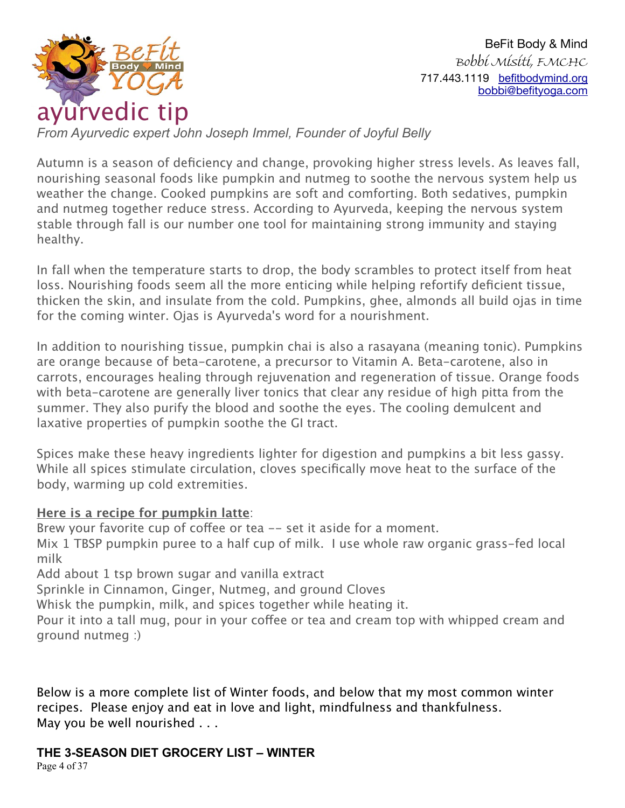

*From Ayurvedic expert John Joseph Immel, Founder of Joyful Belly*

Autumn is a season of deficiency and change, provoking higher stress levels. As leaves fall, nourishing seasonal foods like pumpkin and nutmeg to soothe the nervous system help us weather the change. Cooked pumpkins are soft and comforting. Both sedatives, pumpkin and nutmeg together reduce stress. According to Ayurveda, keeping the nervous system stable through fall is our number one tool for maintaining strong immunity and staying healthy.

In fall when the temperature starts to drop, the body scrambles to protect itself from heat loss. Nourishing foods seem all the more enticing while helping refortify deficient tissue, thicken the skin, and insulate from the cold. Pumpkins, ghee, almonds all build ojas in time for the coming winter. Ojas is Ayurveda's word for a nourishment.

In addition to nourishing tissue, pumpkin chai is also a rasayana (meaning tonic). Pumpkins are orange because of beta-carotene, a precursor to Vitamin A. Beta-carotene, also in carrots, encourages healing through rejuvenation and regeneration of tissue. Orange foods with beta-carotene are generally liver tonics that clear any residue of high pitta from the summer. They also purify the blood and soothe the eyes. The cooling demulcent and laxative properties of pumpkin soothe the GI tract.

Spices make these heavy ingredients lighter for digestion and pumpkins a bit less gassy. While all spices stimulate circulation, cloves specifically move heat to the surface of the body, warming up cold extremities.

# **Here is a recipe for pumpkin latte**:

Brew your favorite cup of coffee or tea -- set it aside for a moment.

Mix 1 TBSP pumpkin puree to a half cup of milk. I use whole raw organic grass-fed local milk

Add about 1 tsp brown sugar and vanilla extract

Sprinkle in Cinnamon, Ginger, Nutmeg, and ground Cloves

Whisk the pumpkin, milk, and spices together while heating it.

Pour it into a tall mug, pour in your cofee or tea and cream top with whipped cream and ground nutmeg :)

Below is a more complete list of Winter foods, and below that my most common winter recipes. Please enjoy and eat in love and light, mindfulness and thankfulness. May you be well nourished . . .

# **THE 3-SEASON DIET GROCERY LIST – WINTER**

Page 4 of 37